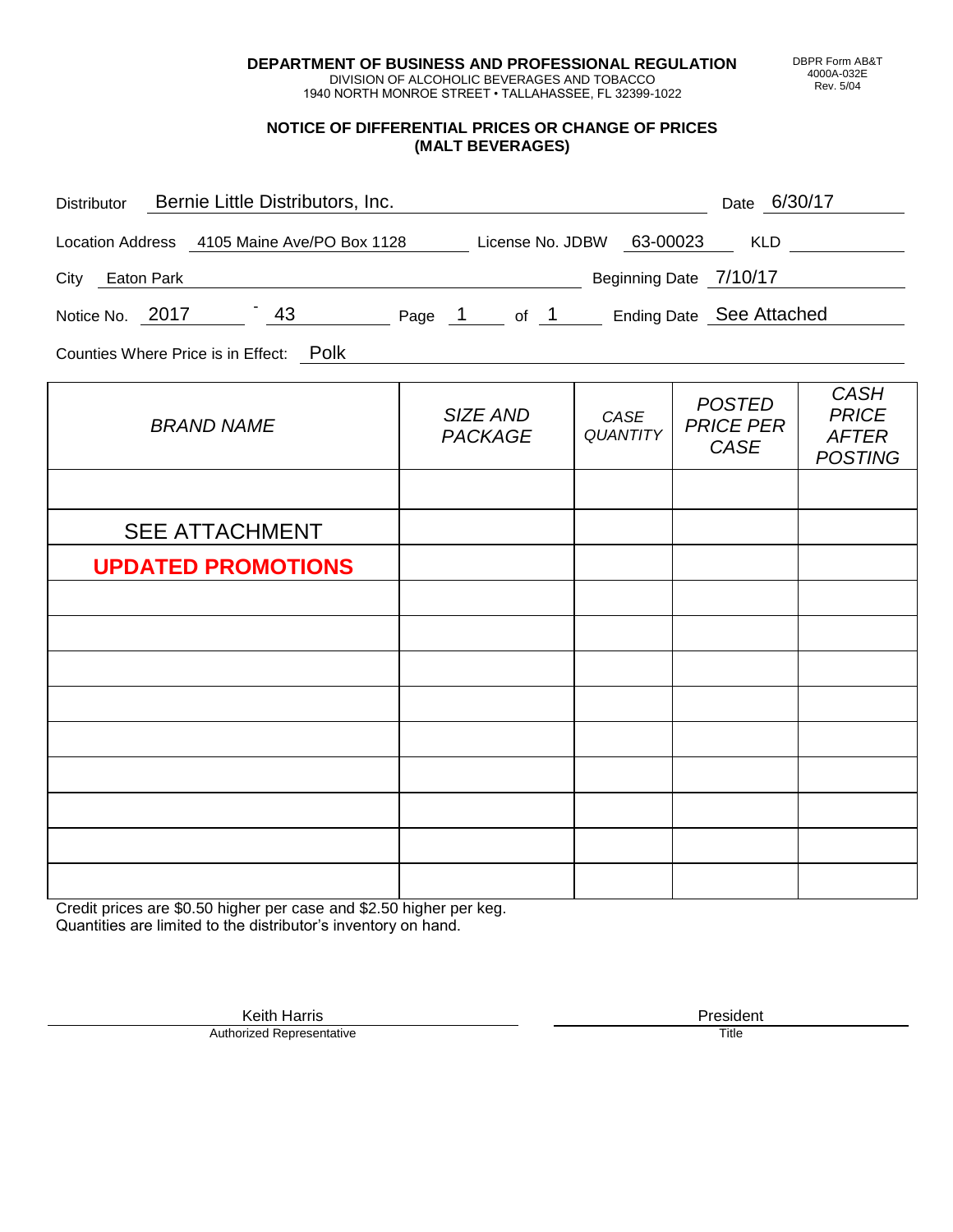**DEPARTMENT OF BUSINESS AND PROFESSIONAL REGULATION** DIVISION OF ALCOHOLIC BEVERAGES AND TOBACCO

1940 NORTH MONROE STREET • TALLAHASSEE, FL 32399-1022

### **NOTICE OF DIFFERENTIAL PRICES OR CHANGE OF PRICES (MALT BEVERAGES)**

| Distributor Bernie Little Distributors, Inc.                              |                            |                         | Date 6/30/17                                     |                                                               |
|---------------------------------------------------------------------------|----------------------------|-------------------------|--------------------------------------------------|---------------------------------------------------------------|
| Location Address 4105 Maine Ave/PO Box 1128 License No. JDBW 63-00023 KLD |                            |                         |                                                  |                                                               |
| City Eaton Park                                                           |                            |                         | Beginning Date 7/10/17                           |                                                               |
| Notice No. 2017 13 43 Page 1 of 1 Ending Date See Attached                |                            |                         |                                                  |                                                               |
| Counties Where Price is in Effect: Polk                                   |                            |                         |                                                  |                                                               |
| <b>BRAND NAME</b>                                                         | SIZE AND<br><b>PACKAGE</b> | CASE<br><b>QUANTITY</b> | <b>POSTED</b><br><b>PRICE PER</b><br><b>CASE</b> | <b>CASH</b><br><b>PRICE</b><br><b>AFTER</b><br><b>POSTING</b> |
|                                                                           |                            |                         |                                                  |                                                               |
| <b>SEE ATTACHMENT</b>                                                     |                            |                         |                                                  |                                                               |
| <b>UPDATED PROMOTIONS</b>                                                 |                            |                         |                                                  |                                                               |
|                                                                           |                            |                         |                                                  |                                                               |
|                                                                           |                            |                         |                                                  |                                                               |
|                                                                           |                            |                         |                                                  |                                                               |
|                                                                           |                            |                         |                                                  |                                                               |
|                                                                           |                            |                         |                                                  |                                                               |
|                                                                           |                            |                         |                                                  |                                                               |
|                                                                           |                            |                         |                                                  |                                                               |
|                                                                           |                            |                         |                                                  |                                                               |
|                                                                           |                            |                         |                                                  |                                                               |

Credit prices are \$0.50 higher per case and \$2.50 higher per keg. Quantities are limited to the distributor's inventory on hand.

> Keith Harris **President** President **President** President **President** President **President** Authorized Representative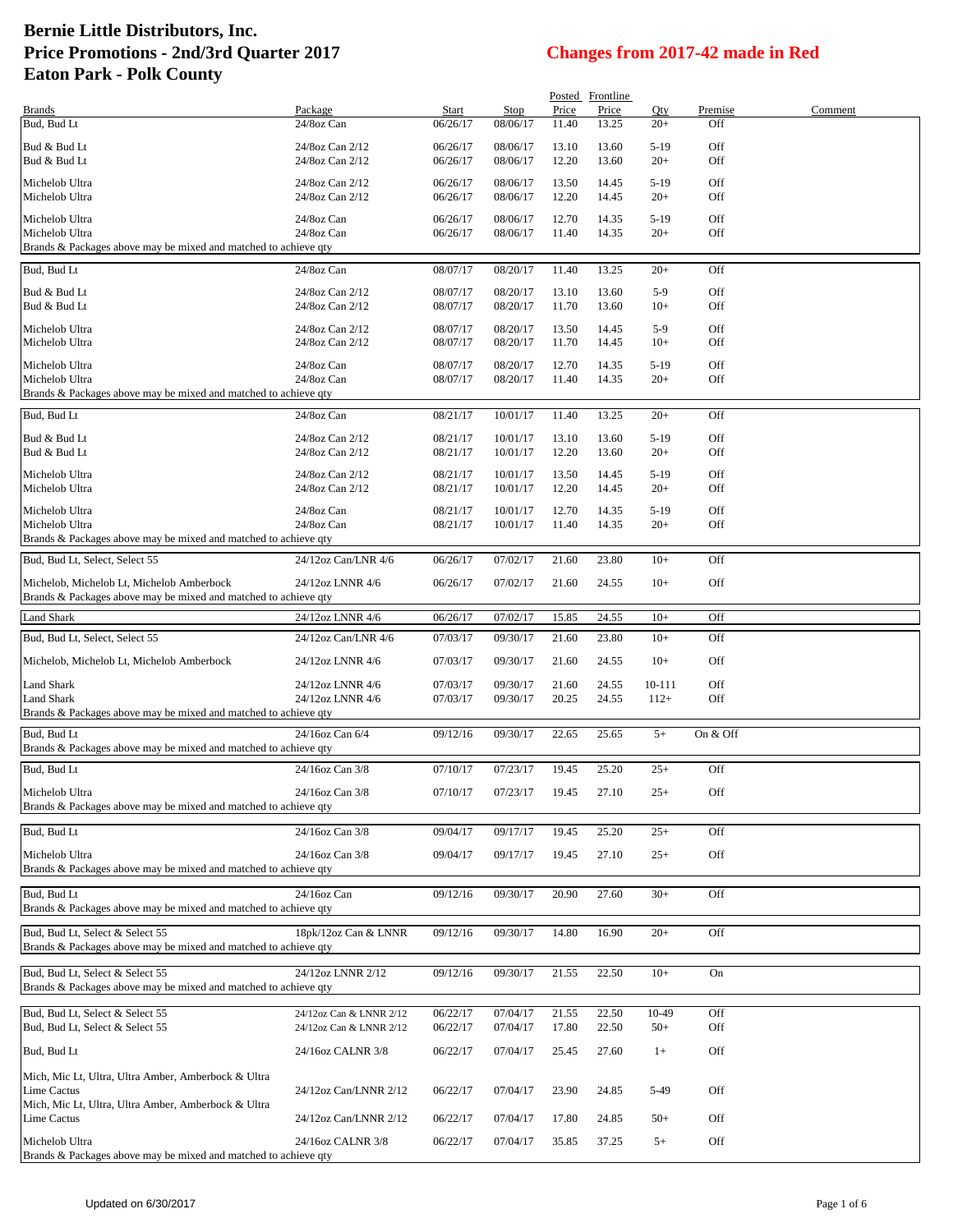|                                                                                   |                                                    |                      |                      |                | Posted Frontline |                |            |         |
|-----------------------------------------------------------------------------------|----------------------------------------------------|----------------------|----------------------|----------------|------------------|----------------|------------|---------|
| <b>Brands</b>                                                                     | Package                                            | Start                | Stop                 | Price          | Price            | Qty            | Premise    | Comment |
| Bud, Bud Lt                                                                       | 24/8oz Can                                         | 06/26/17             | 08/06/17             | 11.40          | 13.25            | $20+$          | Off        |         |
| Bud & Bud Lt                                                                      | 24/8oz Can 2/12                                    | 06/26/17             | 08/06/17             | 13.10          | 13.60            | $5-19$         | Off        |         |
| Bud & Bud Lt                                                                      | 24/8oz Can 2/12                                    | 06/26/17             | 08/06/17             | 12.20          | 13.60            | $20+$          | Off        |         |
| Michelob Ultra                                                                    | 24/8oz Can 2/12                                    | 06/26/17             | 08/06/17             | 13.50          | 14.45            | $5-19$         | Off        |         |
| Michelob Ultra                                                                    | 24/8oz Can 2/12                                    | 06/26/17             | 08/06/17             | 12.20          | 14.45            | $20+$          | Off        |         |
| Michelob Ultra                                                                    | 24/8oz Can                                         | 06/26/17             | 08/06/17             | 12.70          | 14.35            | $5-19$         | Off        |         |
| Michelob Ultra                                                                    | 24/8oz Can                                         | 06/26/17             | 08/06/17             | 11.40          | 14.35            | $20+$          | Off        |         |
| Brands & Packages above may be mixed and matched to achieve qty                   |                                                    |                      |                      |                |                  |                |            |         |
| Bud, Bud Lt                                                                       | 24/8oz Can                                         | 08/07/17             | 08/20/17             | 11.40          | 13.25            | $20+$          | Off        |         |
| Bud & Bud Lt                                                                      | 24/8oz Can 2/12                                    | 08/07/17             | 08/20/17             | 13.10          | 13.60            | $5-9$          | Off        |         |
| Bud & Bud Lt                                                                      | 24/8oz Can 2/12                                    | 08/07/17             | 08/20/17             | 11.70          | 13.60            | $10+$          | Off        |         |
|                                                                                   |                                                    |                      |                      |                |                  |                |            |         |
| Michelob Ultra<br>Michelob Ultra                                                  | 24/8oz Can 2/12<br>24/8oz Can 2/12                 | 08/07/17<br>08/07/17 | 08/20/17<br>08/20/17 | 13.50<br>11.70 | 14.45<br>14.45   | $5-9$<br>$10+$ | Off<br>Off |         |
|                                                                                   |                                                    |                      |                      |                |                  |                |            |         |
| Michelob Ultra                                                                    | 24/8oz Can                                         | 08/07/17             | 08/20/17             | 12.70          | 14.35            | $5-19$         | Off        |         |
| Michelob Ultra<br>Brands & Packages above may be mixed and matched to achieve qty | 24/8oz Can                                         | 08/07/17             | 08/20/17             | 11.40          | 14.35            | $20+$          | Off        |         |
|                                                                                   |                                                    |                      |                      |                |                  |                |            |         |
| Bud, Bud Lt                                                                       | 24/8oz Can                                         | 08/21/17             | 10/01/17             | 11.40          | 13.25            | $20+$          | Off        |         |
| Bud & Bud Lt                                                                      | 24/8oz Can 2/12                                    | 08/21/17             | 10/01/17             | 13.10          | 13.60            | $5-19$         | Off        |         |
| Bud & Bud Lt                                                                      | 24/8oz Can 2/12                                    | 08/21/17             | 10/01/17             | 12.20          | 13.60            | $20+$          | Off        |         |
| Michelob Ultra                                                                    | 24/8oz Can 2/12                                    | 08/21/17             | 10/01/17             | 13.50          | 14.45            | $5-19$         | Off        |         |
| Michelob Ultra                                                                    | 24/8oz Can 2/12                                    | 08/21/17             | 10/01/17             | 12.20          | 14.45            | $20+$          | Off        |         |
| Michelob Ultra                                                                    | 24/8oz Can                                         | 08/21/17             | 10/01/17             | 12.70          | 14.35            | $5-19$         | Off        |         |
| Michelob Ultra                                                                    | 24/8oz Can                                         | 08/21/17             | 10/01/17             | 11.40          | 14.35            | $20+$          | Off        |         |
| Brands & Packages above may be mixed and matched to achieve qty                   |                                                    |                      |                      |                |                  |                |            |         |
| Bud, Bud Lt, Select, Select 55                                                    | 24/12oz Can/LNR 4/6                                | 06/26/17             | 07/02/17             | 21.60          | 23.80            | $10+$          | Off        |         |
| Michelob, Michelob Lt, Michelob Amberbock                                         | 24/12oz LNNR 4/6                                   |                      |                      |                |                  | $10+$          | Off        |         |
| Brands & Packages above may be mixed and matched to achieve qty                   |                                                    | 06/26/17             | 07/02/17             | 21.60          | 24.55            |                |            |         |
| <b>Land Shark</b>                                                                 | 24/12oz LNNR 4/6                                   | 06/26/17             | 07/02/17             | 15.85          | 24.55            | $10+$          | Off        |         |
|                                                                                   |                                                    |                      |                      |                |                  |                |            |         |
| Bud, Bud Lt, Select, Select 55                                                    | 24/12oz Can/LNR 4/6                                | 07/03/17             | 09/30/17             | 21.60          | 23.80            | $10+$          | Off        |         |
| Michelob, Michelob Lt, Michelob Amberbock                                         | 24/12oz LNNR 4/6                                   | 07/03/17             | 09/30/17             | 21.60          | 24.55            | $10+$          | Off        |         |
| Land Shark                                                                        | 24/12oz LNNR 4/6                                   | 07/03/17             | 09/30/17             | 21.60          | 24.55            | 10-111         | Off        |         |
| Land Shark                                                                        | 24/12oz LNNR 4/6                                   | 07/03/17             | 09/30/17             | 20.25          | 24.55            | $112+$         | Off        |         |
| Brands & Packages above may be mixed and matched to achieve qty                   |                                                    |                      |                      |                |                  |                |            |         |
| Bud, Bud Lt                                                                       | 24/16oz Can 6/4                                    | 09/12/16             | 09/30/17             | 22.65          | 25.65            | $5+$           | On & Off   |         |
| Brands & Packages above may be mixed and matched to achieve qty                   |                                                    |                      |                      |                |                  |                |            |         |
| Bud. Bud Lt                                                                       | 24/16oz Can 3/8                                    | 07/10/17             | 07/23/17             | 19.45          | 25.20            | $25+$          | Off        |         |
|                                                                                   |                                                    |                      |                      |                |                  |                |            |         |
| Michelob Ultra<br>Brands & Packages above may be mixed and matched to achieve qty | 24/16oz Can 3/8                                    | 07/10/17             | 07/23/17             | 19.45          | 27.10            | $25+$          | Off        |         |
|                                                                                   |                                                    |                      |                      |                |                  |                |            |         |
| Bud, Bud Lt                                                                       | 24/16oz Can 3/8                                    | 09/04/17             | 09/17/17             | 19.45          | 25.20            | $25+$          | Off        |         |
| Michelob Ultra                                                                    | 24/16oz Can 3/8                                    | 09/04/17             | 09/17/17             | 19.45          | 27.10            | $25+$          | Off        |         |
| Brands & Packages above may be mixed and matched to achieve qty                   |                                                    |                      |                      |                |                  |                |            |         |
|                                                                                   |                                                    |                      |                      |                |                  |                |            |         |
| Bud, Bud Lt<br>Brands & Packages above may be mixed and matched to achieve qty    | 24/16oz Can                                        | 09/12/16             | 09/30/17             | 20.90          | 27.60            | $30+$          | Off        |         |
|                                                                                   |                                                    |                      |                      |                |                  |                |            |         |
| Bud, Bud Lt, Select & Select 55                                                   | 18pk/12oz Can & LNNR                               | 09/12/16             | 09/30/17             | 14.80          | 16.90            | $20+$          | Off        |         |
| Brands & Packages above may be mixed and matched to achieve qty                   |                                                    |                      |                      |                |                  |                |            |         |
| Bud, Bud Lt, Select & Select 55                                                   | 24/12oz LNNR 2/12                                  | 09/12/16             | 09/30/17             | 21.55          | 22.50            | $10+$          | On         |         |
| Brands & Packages above may be mixed and matched to achieve qty                   |                                                    |                      |                      |                |                  |                |            |         |
|                                                                                   |                                                    |                      |                      |                |                  |                |            |         |
| Bud, Bud Lt, Select & Select 55<br>Bud, Bud Lt, Select & Select 55                | 24/12oz Can & LNNR 2/12<br>24/12oz Can & LNNR 2/12 | 06/22/17<br>06/22/17 | 07/04/17<br>07/04/17 | 21.55<br>17.80 | 22.50<br>22.50   | 10-49<br>$50+$ | Off<br>Off |         |
|                                                                                   |                                                    |                      |                      |                |                  |                |            |         |
| Bud, Bud Lt                                                                       | 24/16oz CALNR 3/8                                  | 06/22/17             | 07/04/17             | 25.45          | 27.60            | $1+$           | Off        |         |
| Mich, Mic Lt, Ultra, Ultra Amber, Amberbock & Ultra                               |                                                    |                      |                      |                |                  |                |            |         |
| Lime Cactus                                                                       | 24/12oz Can/LNNR 2/12                              | 06/22/17             | 07/04/17             | 23.90          | 24.85            | 5-49           | Off        |         |
| Mich, Mic Lt, Ultra, Ultra Amber, Amberbock & Ultra                               |                                                    |                      |                      |                |                  |                |            |         |
| <b>Lime Cactus</b>                                                                | 24/12oz Can/LNNR 2/12                              | 06/22/17             | 07/04/17             | 17.80          | 24.85            | $50+$          | Off        |         |
| Michelob Ultra                                                                    | 24/16oz CALNR 3/8                                  | 06/22/17             | 07/04/17             | 35.85          | 37.25            | $5+$           | Off        |         |
| Brands & Packages above may be mixed and matched to achieve qty                   |                                                    |                      |                      |                |                  |                |            |         |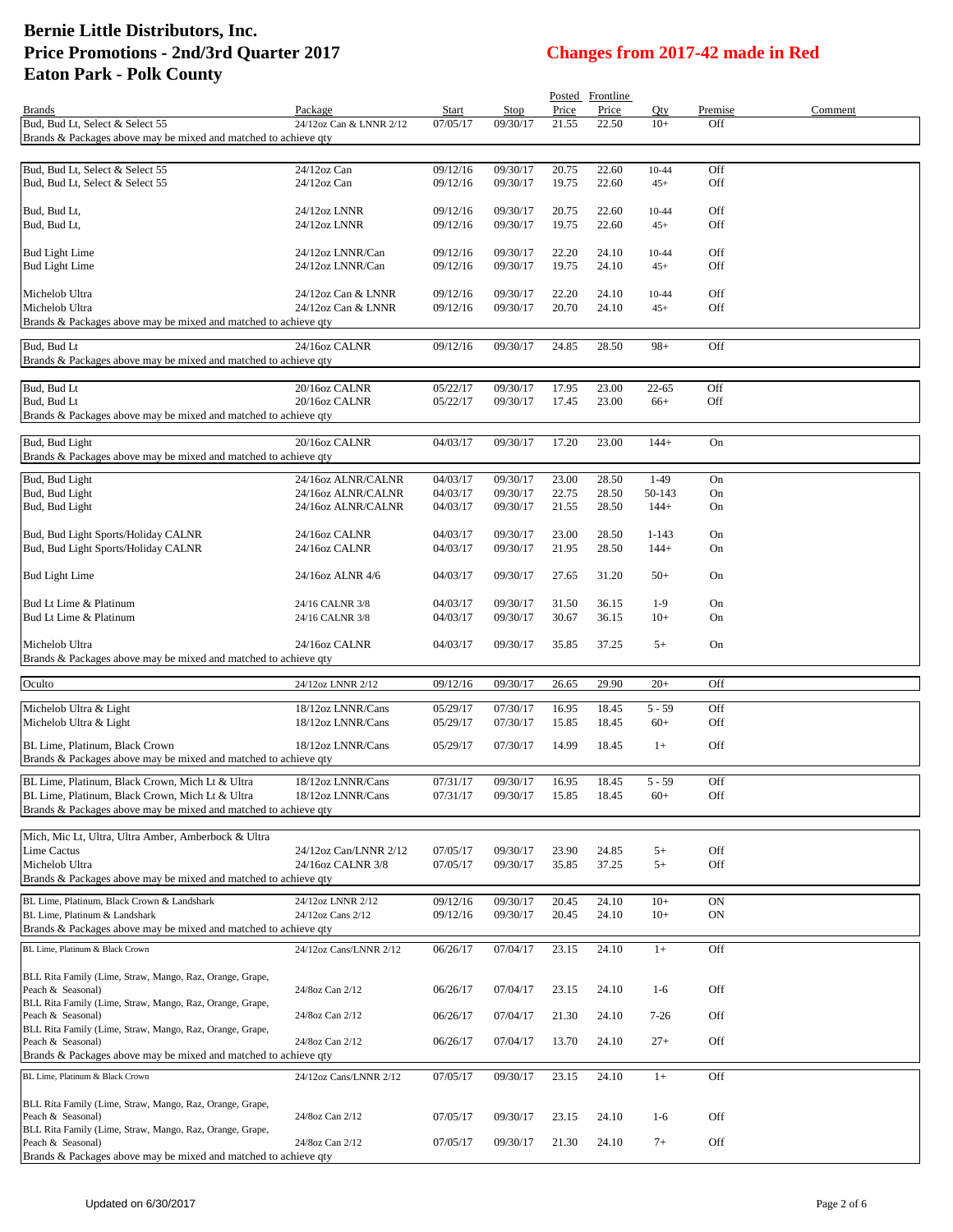|                                                                                                    |                                          |                      |                      |                | Posted Frontline |                    |            |         |
|----------------------------------------------------------------------------------------------------|------------------------------------------|----------------------|----------------------|----------------|------------------|--------------------|------------|---------|
| <b>Brands</b>                                                                                      | Package                                  | Start                | Stop                 | Price          | Price            | Qty                | Premise    | Comment |
| Bud, Bud Lt, Select & Select 55<br>Brands & Packages above may be mixed and matched to achieve gty | 24/12oz Can & LNNR 2/12                  | 07/05/17             | 09/30/17             | 21.55          | 22.50            | $10+$              | Off        |         |
|                                                                                                    |                                          |                      |                      |                |                  |                    |            |         |
| Bud, Bud Lt, Select & Select 55                                                                    | 24/12oz Can                              | 09/12/16             | 09/30/17             | 20.75          | 22.60            | $10 - 44$          | Off        |         |
| Bud, Bud Lt, Select & Select 55                                                                    | 24/12oz Can                              | 09/12/16             | 09/30/17             | 19.75          | 22.60            | $45+$              | Off        |         |
|                                                                                                    |                                          |                      |                      |                |                  |                    |            |         |
| Bud, Bud Lt,<br>Bud, Bud Lt,                                                                       | 24/12oz LNNR<br>24/12oz LNNR             | 09/12/16<br>09/12/16 | 09/30/17<br>09/30/17 | 20.75<br>19.75 | 22.60<br>22.60   | $10 - 44$<br>$45+$ | Off<br>Off |         |
|                                                                                                    |                                          |                      |                      |                |                  |                    |            |         |
| <b>Bud Light Lime</b>                                                                              | 24/12oz LNNR/Can                         | 09/12/16             | 09/30/17             | 22.20          | 24.10            | $10 - 44$          | Off        |         |
| <b>Bud Light Lime</b>                                                                              | 24/12oz LNNR/Can                         | 09/12/16             | 09/30/17             | 19.75          | 24.10            | $45+$              | Off        |         |
|                                                                                                    |                                          |                      |                      |                |                  |                    |            |         |
| Michelob Ultra<br>Michelob Ultra                                                                   | 24/12oz Can & LNNR<br>24/12oz Can & LNNR | 09/12/16<br>09/12/16 | 09/30/17<br>09/30/17 | 22.20<br>20.70 | 24.10<br>24.10   | $10 - 44$<br>$45+$ | Off<br>Off |         |
| Brands & Packages above may be mixed and matched to achieve qty                                    |                                          |                      |                      |                |                  |                    |            |         |
|                                                                                                    |                                          |                      |                      |                |                  |                    |            |         |
| Bud, Bud Lt<br>Brands & Packages above may be mixed and matched to achieve qty                     | 24/16oz CALNR                            | 09/12/16             | 09/30/17             | 24.85          | 28.50            | $98+$              | Off        |         |
|                                                                                                    |                                          |                      |                      |                |                  |                    |            |         |
| Bud, Bud Lt                                                                                        | 20/16oz CALNR                            | 05/22/17             | 09/30/17             | 17.95          | 23.00            | $22 - 65$          | Off        |         |
| Bud, Bud Lt                                                                                        | 20/16oz CALNR                            | 05/22/17             | 09/30/17             | 17.45          | 23.00            | $66+$              | Off        |         |
| Brands & Packages above may be mixed and matched to achieve qty                                    |                                          |                      |                      |                |                  |                    |            |         |
| Bud, Bud Light                                                                                     | 20/16oz CALNR                            | 04/03/17             | 09/30/17             | 17.20          | 23.00            | $144+$             | On         |         |
| Brands & Packages above may be mixed and matched to achieve qty                                    |                                          |                      |                      |                |                  |                    |            |         |
|                                                                                                    |                                          |                      |                      |                |                  | $1-49$             |            |         |
| Bud, Bud Light<br>Bud, Bud Light                                                                   | 24/16oz ALNR/CALNR<br>24/16oz ALNR/CALNR | 04/03/17<br>04/03/17 | 09/30/17<br>09/30/17 | 23.00<br>22.75 | 28.50<br>28.50   | 50-143             | On<br>On   |         |
| Bud, Bud Light                                                                                     | 24/16oz ALNR/CALNR                       | 04/03/17             | 09/30/17             | 21.55          | 28.50            | $144+$             | On         |         |
|                                                                                                    |                                          |                      |                      |                |                  |                    |            |         |
| Bud, Bud Light Sports/Holiday CALNR                                                                | 24/16oz CALNR                            | 04/03/17             | 09/30/17             | 23.00          | 28.50            | $1 - 143$          | On         |         |
| Bud, Bud Light Sports/Holiday CALNR                                                                | 24/16oz CALNR                            | 04/03/17             | 09/30/17             | 21.95          | 28.50            | $144+$             | On         |         |
| <b>Bud Light Lime</b>                                                                              | 24/16oz ALNR 4/6                         | 04/03/17             | 09/30/17             | 27.65          | 31.20            | $50+$              | On         |         |
|                                                                                                    |                                          |                      |                      |                |                  |                    |            |         |
| Bud Lt Lime & Platinum                                                                             | 24/16 CALNR 3/8                          | 04/03/17             | 09/30/17             | 31.50          | 36.15            | $1-9$              | On         |         |
| Bud Lt Lime & Platinum                                                                             | 24/16 CALNR 3/8                          | 04/03/17             | 09/30/17             | 30.67          | 36.15            | $10+$              | On         |         |
| Michelob Ultra                                                                                     | 24/16oz CALNR                            | 04/03/17             | 09/30/17             | 35.85          | 37.25            | $5+$               | On         |         |
| Brands & Packages above may be mixed and matched to achieve qty                                    |                                          |                      |                      |                |                  |                    |            |         |
|                                                                                                    |                                          |                      |                      |                |                  |                    |            |         |
| Oculto                                                                                             | 24/12oz LNNR 2/12                        | 09/12/16             | 09/30/17             | 26.65          | 29.90            | $20+$              | Off        |         |
| Michelob Ultra & Light                                                                             | 18/12oz LNNR/Cans                        | 05/29/17             | 07/30/17             | 16.95          | 18.45            | $5 - 59$           | Off        |         |
| Michelob Ultra & Light                                                                             | 18/12oz LNNR/Cans                        | 05/29/17             | 07/30/17             | 15.85          | 18.45            | $60+$              | Off        |         |
| BL Lime, Platinum, Black Crown                                                                     | 18/12oz LNNR/Cans                        | 05/29/17             | 07/30/17             | 14.99          | 18.45            | $1+$               | Off        |         |
| Brands & Packages above may be mixed and matched to achieve qty                                    |                                          |                      |                      |                |                  |                    |            |         |
| BL Lime, Platinum, Black Crown, Mich Lt & Ultra                                                    | 18/12oz LNNR/Cans                        | 07/31/17             | 09/30/17             | 16.95          | 18.45            | $5 - 59$           | Off        |         |
| BL Lime, Platinum, Black Crown, Mich Lt & Ultra                                                    | 18/12oz LNNR/Cans                        | 07/31/17             | 09/30/17             | 15.85          | 18.45            | $60+$              | Off        |         |
| Brands & Packages above may be mixed and matched to achieve qty                                    |                                          |                      |                      |                |                  |                    |            |         |
|                                                                                                    |                                          |                      |                      |                |                  |                    |            |         |
| Mich, Mic Lt, Ultra, Ultra Amber, Amberbock & Ultra<br>Lime Cactus                                 | 24/12oz Can/LNNR 2/12                    | 07/05/17             | 09/30/17             | 23.90          | 24.85            | $5+$               | Off        |         |
| Michelob Ultra                                                                                     | 24/16oz CALNR 3/8                        | 07/05/17             | 09/30/17             | 35.85          | 37.25            | $5+$               | Off        |         |
| Brands & Packages above may be mixed and matched to achieve qty                                    |                                          |                      |                      |                |                  |                    |            |         |
| BL Lime, Platinum, Black Crown & Landshark                                                         | 24/12oz LNNR 2/12                        | 09/12/16             | 09/30/17             | 20.45          | 24.10            | $10+$              | <b>ON</b>  |         |
| BL Lime, Platinum & Landshark                                                                      | 24/12oz Cans 2/12                        | 09/12/16             | 09/30/17             | 20.45          | 24.10            | $10+$              | ON         |         |
| Brands & Packages above may be mixed and matched to achieve qty                                    |                                          |                      |                      |                |                  |                    |            |         |
| BL Lime, Platinum & Black Crown                                                                    | 24/12oz Cans/LNNR 2/12                   | 06/26/17             | 07/04/17             | 23.15          | 24.10            | $1+$               | Off        |         |
|                                                                                                    |                                          |                      |                      |                |                  |                    |            |         |
| BLL Rita Family (Lime, Straw, Mango, Raz, Orange, Grape,                                           |                                          |                      |                      |                |                  |                    |            |         |
| Peach & Seasonal)<br>BLL Rita Family (Lime, Straw, Mango, Raz, Orange, Grape,                      | 24/8oz Can 2/12                          | 06/26/17             | 07/04/17             | 23.15          | 24.10            | $1-6$              | Off        |         |
| Peach & Seasonal)                                                                                  | 24/8oz Can 2/12                          | 06/26/17             | 07/04/17             | 21.30          | 24.10            | $7 - 26$           | Off        |         |
| BLL Rita Family (Lime, Straw, Mango, Raz, Orange, Grape,                                           |                                          |                      |                      |                |                  |                    |            |         |
| Peach & Seasonal)                                                                                  | 24/8oz Can 2/12                          | 06/26/17             | 07/04/17             | 13.70          | 24.10            | $27+$              | Off        |         |
| Brands & Packages above may be mixed and matched to achieve qty                                    |                                          |                      |                      |                |                  |                    |            |         |
| BL Lime, Platinum & Black Crown                                                                    | 24/12oz Cans/LNNR 2/12                   | 07/05/17             | 09/30/17             | 23.15          | 24.10            | $1+$               | Off        |         |
| BLL Rita Family (Lime, Straw, Mango, Raz, Orange, Grape,                                           |                                          |                      |                      |                |                  |                    |            |         |
| Peach & Seasonal)                                                                                  | 24/8oz Can 2/12                          | 07/05/17             | 09/30/17             | 23.15          | 24.10            | $1-6$              | Off        |         |
| BLL Rita Family (Lime, Straw, Mango, Raz, Orange, Grape,                                           |                                          |                      |                      |                |                  |                    |            |         |
| Peach & Seasonal)                                                                                  | 24/8oz Can 2/12                          | 07/05/17             | 09/30/17             | 21.30          | 24.10            | $7+$               | Off        |         |
| Brands & Packages above may be mixed and matched to achieve qty                                    |                                          |                      |                      |                |                  |                    |            |         |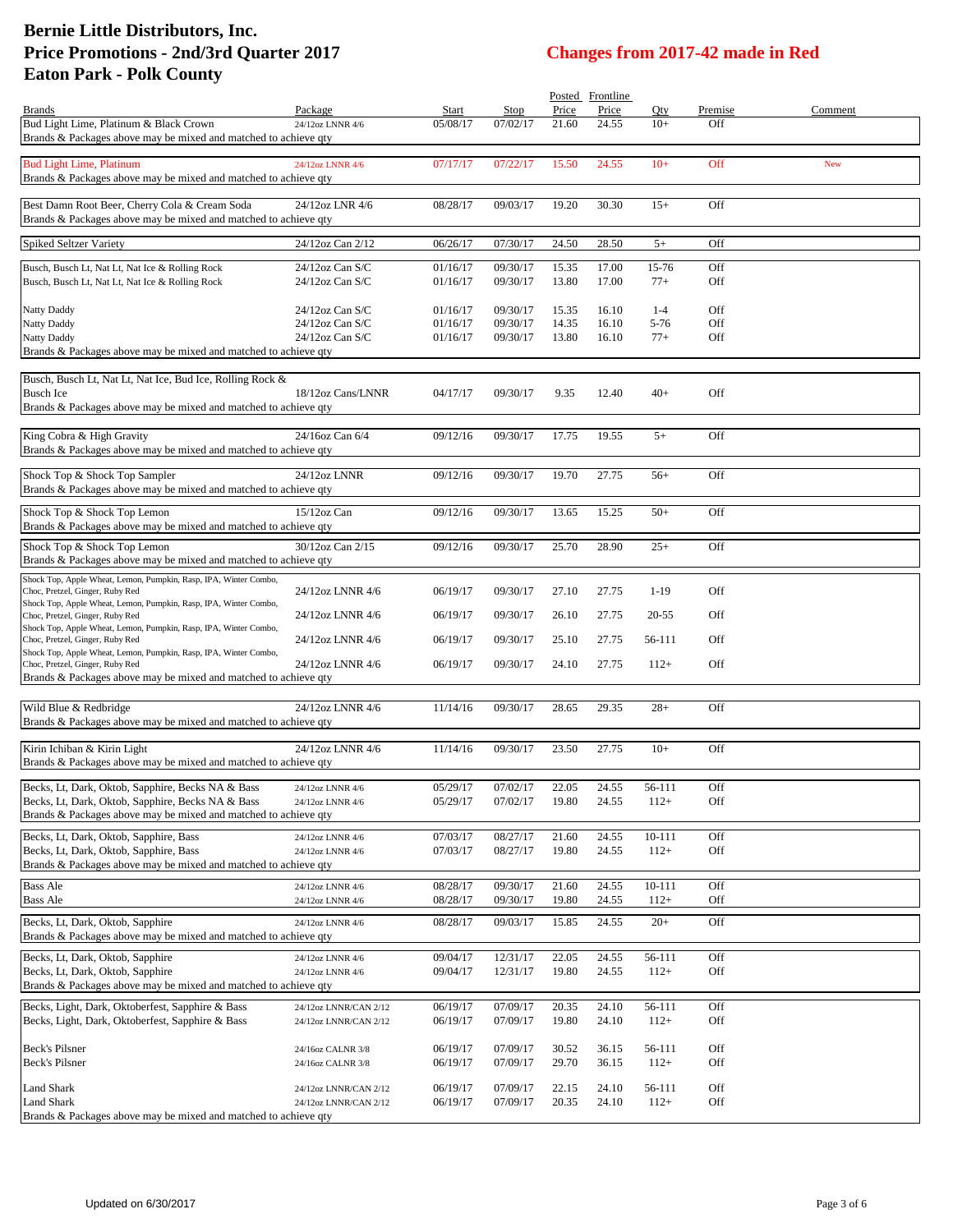|                                                                                                           |                       |          |          |       | Posted Frontline |          |         |         |
|-----------------------------------------------------------------------------------------------------------|-----------------------|----------|----------|-------|------------------|----------|---------|---------|
| <b>Brands</b>                                                                                             | Package               | Start    | Stop     | Price | Price            | Qty      | Premise | Comment |
| Bud Light Lime, Platinum & Black Crown<br>Brands & Packages above may be mixed and matched to achieve gty | 24/12oz LNNR 4/6      | 05/08/17 | 07/02/17 | 21.60 | 24.55            | $10+$    | Off     |         |
|                                                                                                           |                       |          |          |       |                  |          |         |         |
| <b>Bud Light Lime, Platinum</b>                                                                           | 24/12oz LNNR 4/6      | 07/17/17 | 07/22/17 | 15.50 | 24.55            | $10+$    | Off     | New     |
| Brands & Packages above may be mixed and matched to achieve qty                                           |                       |          |          |       |                  |          |         |         |
| Best Damn Root Beer, Cherry Cola & Cream Soda                                                             | 24/12oz LNR 4/6       | 08/28/17 | 09/03/17 | 19.20 | 30.30            | $15+$    | Off     |         |
| Brands & Packages above may be mixed and matched to achieve qty                                           |                       |          |          |       |                  |          |         |         |
|                                                                                                           | 24/12oz Can 2/12      | 06/26/17 | 07/30/17 | 24.50 | 28.50            | $5+$     | Off     |         |
| Spiked Seltzer Variety                                                                                    |                       |          |          |       |                  |          |         |         |
| Busch, Busch Lt, Nat Lt, Nat Ice & Rolling Rock                                                           | 24/12oz Can S/C       | 01/16/17 | 09/30/17 | 15.35 | 17.00            | 15-76    | Off     |         |
| Busch, Busch Lt, Nat Lt, Nat Ice & Rolling Rock                                                           | 24/12oz Can S/C       | 01/16/17 | 09/30/17 | 13.80 | 17.00            | $77+$    | Off     |         |
| Natty Daddy                                                                                               | 24/12oz Can S/C       | 01/16/17 | 09/30/17 | 15.35 | 16.10            | $1 - 4$  | Off     |         |
| Natty Daddy                                                                                               | 24/12oz Can S/C       | 01/16/17 | 09/30/17 | 14.35 | 16.10            | $5 - 76$ | Off     |         |
| Natty Daddy                                                                                               | 24/12oz Can S/C       | 01/16/17 | 09/30/17 | 13.80 | 16.10            | $77+$    | Off     |         |
| Brands & Packages above may be mixed and matched to achieve qty                                           |                       |          |          |       |                  |          |         |         |
| Busch, Busch Lt, Nat Lt, Nat Ice, Bud Ice, Rolling Rock &                                                 |                       |          |          |       |                  |          |         |         |
| <b>Busch Ice</b>                                                                                          | 18/12oz Cans/LNNR     | 04/17/17 | 09/30/17 | 9.35  | 12.40            | $40+$    | Off     |         |
| Brands & Packages above may be mixed and matched to achieve qty                                           |                       |          |          |       |                  |          |         |         |
|                                                                                                           |                       |          |          |       |                  |          |         |         |
| King Cobra & High Gravity                                                                                 | 24/16oz Can 6/4       | 09/12/16 | 09/30/17 | 17.75 | 19.55            | $5+$     | Off     |         |
| Brands & Packages above may be mixed and matched to achieve qty                                           |                       |          |          |       |                  |          |         |         |
| Shock Top & Shock Top Sampler                                                                             | 24/12oz LNNR          | 09/12/16 | 09/30/17 | 19.70 | 27.75            | $56+$    | Off     |         |
| Brands & Packages above may be mixed and matched to achieve qty                                           |                       |          |          |       |                  |          |         |         |
|                                                                                                           | 15/12oz Can           | 09/12/16 |          |       |                  | $50+$    | Off     |         |
| Shock Top & Shock Top Lemon<br>Brands & Packages above may be mixed and matched to achieve qty            |                       |          | 09/30/17 | 13.65 | 15.25            |          |         |         |
|                                                                                                           |                       |          |          |       |                  |          |         |         |
| Shock Top & Shock Top Lemon<br>Brands & Packages above may be mixed and matched to achieve qty            | 30/12oz Can 2/15      | 09/12/16 | 09/30/17 | 25.70 | 28.90            | $25+$    | Off     |         |
|                                                                                                           |                       |          |          |       |                  |          |         |         |
| Shock Top, Apple Wheat, Lemon, Pumpkin, Rasp, IPA, Winter Combo,<br>Choc, Pretzel, Ginger, Ruby Red       | 24/12oz LNNR 4/6      | 06/19/17 | 09/30/17 | 27.10 | 27.75            | $1-19$   | Off     |         |
| Shock Top, Apple Wheat, Lemon, Pumpkin, Rasp, IPA, Winter Combo,                                          |                       |          |          |       |                  |          |         |         |
| Choc, Pretzel, Ginger, Ruby Red                                                                           | 24/12oz LNNR 4/6      | 06/19/17 | 09/30/17 | 26.10 | 27.75            | 20-55    | Off     |         |
| Shock Top, Apple Wheat, Lemon, Pumpkin, Rasp, IPA, Winter Combo,<br>Choc, Pretzel, Ginger, Ruby Red       | 24/12oz LNNR 4/6      | 06/19/17 | 09/30/17 | 25.10 | 27.75            | 56-111   | Off     |         |
| Shock Top, Apple Wheat, Lemon, Pumpkin, Rasp, IPA, Winter Combo,                                          |                       |          |          |       |                  |          |         |         |
| Choc, Pretzel, Ginger, Ruby Red                                                                           | 24/12oz LNNR 4/6      | 06/19/17 | 09/30/17 | 24.10 | 27.75            | $112+$   | Off     |         |
| Brands & Packages above may be mixed and matched to achieve qty                                           |                       |          |          |       |                  |          |         |         |
| Wild Blue & Redbridge                                                                                     | 24/12oz LNNR 4/6      | 11/14/16 | 09/30/17 | 28.65 | 29.35            | $28+$    | Off     |         |
| Brands & Packages above may be mixed and matched to achieve qty                                           |                       |          |          |       |                  |          |         |         |
|                                                                                                           |                       |          |          |       |                  |          |         |         |
| Kirin Ichiban & Kirin Light                                                                               | 24/12oz LNNR 4/6      | 11/14/16 | 09/30/17 | 23.50 | 27.75            | $10+$    | Off     |         |
| Brands & Packages above may be mixed and matched to achieve qty                                           |                       |          |          |       |                  |          |         |         |
| Becks, Lt, Dark, Oktob, Sapphire, Becks NA & Bass                                                         | 24/12oz LNNR 4/6      | 05/29/17 | 07/02/17 | 22.05 | 24.55            | 56-111   | Off     |         |
| Becks, Lt, Dark, Oktob, Sapphire, Becks NA & Bass                                                         | 24/12oz LNNR 4/6      | 05/29/17 | 07/02/17 | 19.80 | 24.55            | $112+$   | Off     |         |
| Brands & Packages above may be mixed and matched to achieve qty                                           |                       |          |          |       |                  |          |         |         |
| Becks, Lt, Dark, Oktob, Sapphire, Bass                                                                    | 24/12oz LNNR 4/6      | 07/03/17 | 08/27/17 | 21.60 | 24.55            | 10-111   | Off     |         |
| Becks, Lt, Dark, Oktob, Sapphire, Bass                                                                    | 24/12oz LNNR 4/6      | 07/03/17 | 08/27/17 | 19.80 | 24.55            | $112+$   | Off     |         |
| Brands & Packages above may be mixed and matched to achieve gty                                           |                       |          |          |       |                  |          |         |         |
| <b>Bass Ale</b>                                                                                           | 24/12oz LNNR 4/6      | 08/28/17 | 09/30/17 | 21.60 | 24.55            | 10-111   | Off     |         |
| <b>Bass Ale</b>                                                                                           | 24/12oz LNNR 4/6      | 08/28/17 | 09/30/17 | 19.80 | 24.55            | $112+$   | Off     |         |
| Becks, Lt, Dark, Oktob, Sapphire                                                                          | 24/12oz LNNR 4/6      | 08/28/17 | 09/03/17 | 15.85 | 24.55            | $20+$    | Off     |         |
| Brands & Packages above may be mixed and matched to achieve qty                                           |                       |          |          |       |                  |          |         |         |
| Becks, Lt, Dark, Oktob, Sapphire                                                                          | 24/12oz LNNR 4/6      | 09/04/17 | 12/31/17 | 22.05 | 24.55            | 56-111   | Off     |         |
| Becks, Lt, Dark, Oktob, Sapphire                                                                          | 24/12oz LNNR 4/6      | 09/04/17 | 12/31/17 | 19.80 | 24.55            | $112+$   | Off     |         |
| Brands & Packages above may be mixed and matched to achieve qty                                           |                       |          |          |       |                  |          |         |         |
| Becks, Light, Dark, Oktoberfest, Sapphire & Bass                                                          | 24/12oz LNNR/CAN 2/12 | 06/19/17 | 07/09/17 | 20.35 | 24.10            | 56-111   | Off     |         |
| Becks, Light, Dark, Oktoberfest, Sapphire & Bass                                                          | 24/12oz LNNR/CAN 2/12 | 06/19/17 | 07/09/17 | 19.80 | 24.10            | $112+$   | Off     |         |
|                                                                                                           |                       |          |          |       |                  |          |         |         |
| Beck's Pilsner                                                                                            | 24/16oz CALNR 3/8     | 06/19/17 | 07/09/17 | 30.52 | 36.15            | 56-111   | Off     |         |
| Beck's Pilsner                                                                                            | 24/16oz CALNR 3/8     | 06/19/17 | 07/09/17 | 29.70 | 36.15            | $112+$   | Off     |         |
| <b>Land Shark</b>                                                                                         | 24/12oz LNNR/CAN 2/12 | 06/19/17 | 07/09/17 | 22.15 | 24.10            | 56-111   | Off     |         |
| Land Shark                                                                                                | 24/12oz LNNR/CAN 2/12 | 06/19/17 | 07/09/17 | 20.35 | 24.10            | $112+$   | Off     |         |
| Brands & Packages above may be mixed and matched to achieve qty                                           |                       |          |          |       |                  |          |         |         |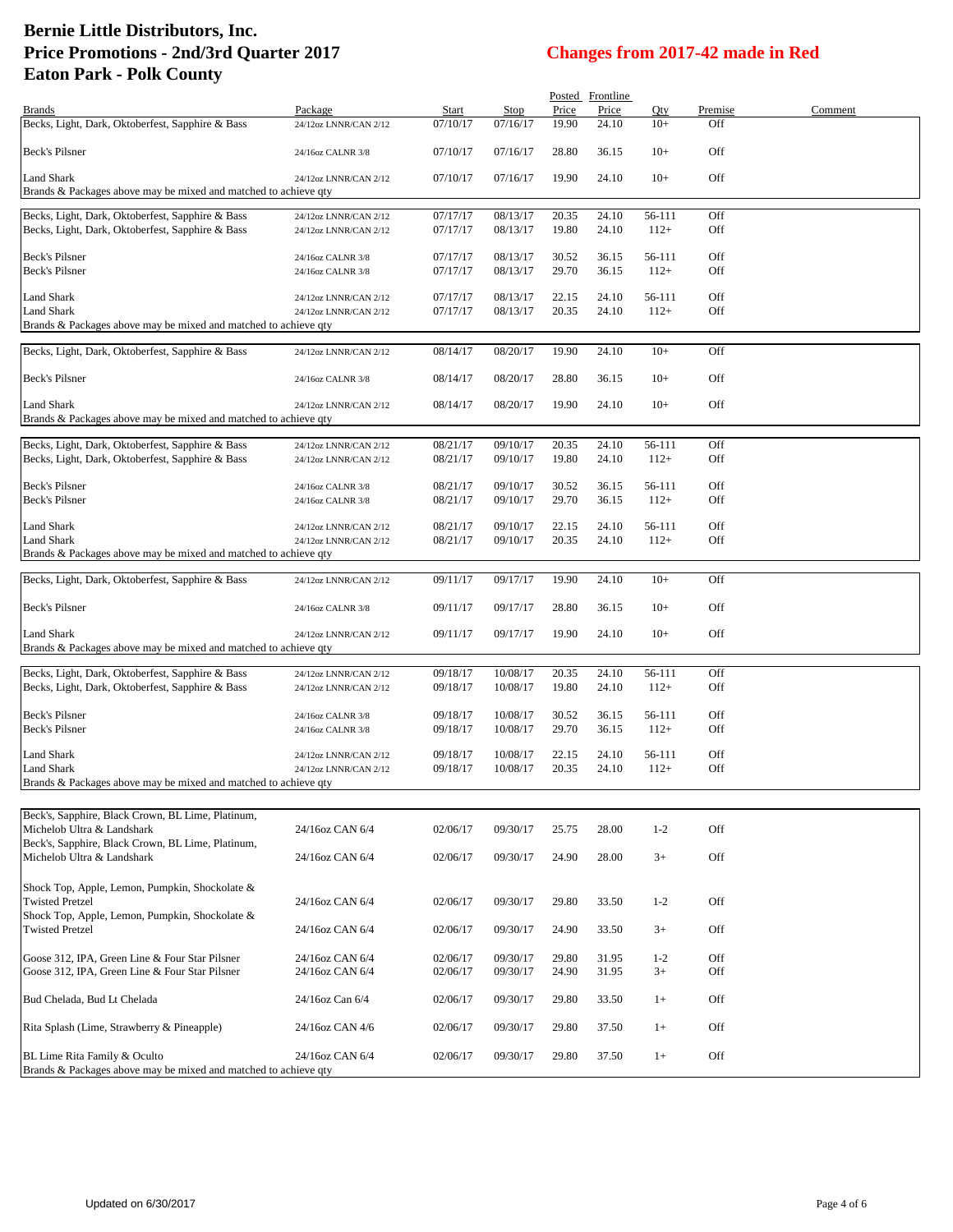|                                                                                                      |                                                |                      |                      |                | Posted Frontline |                  |            |         |
|------------------------------------------------------------------------------------------------------|------------------------------------------------|----------------------|----------------------|----------------|------------------|------------------|------------|---------|
| <b>Brands</b>                                                                                        | Package                                        | <b>Start</b>         | <b>Stop</b>          | Price          | Price            | Qty              | Premise    | Comment |
| Becks, Light, Dark, Oktoberfest, Sapphire & Bass                                                     | 24/12oz LNNR/CAN 2/12                          | 07/10/17             | 07/16/17             | 19.90          | 24.10            | $10+$            | Off        |         |
| Beck's Pilsner                                                                                       | 24/16oz CALNR 3/8                              | 07/10/17             | 07/16/17             | 28.80          | 36.15            | $10+$            | Off        |         |
| Land Shark                                                                                           | 24/12oz LNNR/CAN 2/12                          | 07/10/17             | 07/16/17             | 19.90          | 24.10            | $10+$            | Off        |         |
| Brands & Packages above may be mixed and matched to achieve qty                                      |                                                |                      |                      |                |                  |                  |            |         |
|                                                                                                      |                                                |                      |                      |                |                  |                  |            |         |
| Becks, Light, Dark, Oktoberfest, Sapphire & Bass                                                     | 24/12oz LNNR/CAN 2/12                          | 07/17/17             | 08/13/17             | 20.35          | 24.10            | 56-111           | Off        |         |
| Becks, Light, Dark, Oktoberfest, Sapphire & Bass                                                     | 24/12oz LNNR/CAN 2/12                          | 07/17/17             | 08/13/17             | 19.80          | 24.10            | $112+$           | Off        |         |
| Beck's Pilsner                                                                                       |                                                |                      |                      |                |                  |                  | Off        |         |
| Beck's Pilsner                                                                                       | 24/16oz CALNR 3/8<br>24/16oz CALNR 3/8         | 07/17/17<br>07/17/17 | 08/13/17<br>08/13/17 | 30.52<br>29.70 | 36.15<br>36.15   | 56-111<br>$112+$ | Off        |         |
|                                                                                                      |                                                |                      |                      |                |                  |                  |            |         |
| Land Shark                                                                                           | 24/12oz LNNR/CAN 2/12                          | 07/17/17             | 08/13/17             | 22.15          | 24.10            | 56-111           | Off        |         |
| Land Shark                                                                                           | 24/12oz LNNR/CAN 2/12                          | 07/17/17             | 08/13/17             | 20.35          | 24.10            | $112+$           | Off        |         |
| Brands & Packages above may be mixed and matched to achieve qty                                      |                                                |                      |                      |                |                  |                  |            |         |
|                                                                                                      |                                                |                      |                      |                | 24.10            | $10+$            | Off        |         |
| Becks, Light, Dark, Oktoberfest, Sapphire & Bass                                                     | 24/12oz LNNR/CAN 2/12                          | 08/14/17             | 08/20/17             | 19.90          |                  |                  |            |         |
| Beck's Pilsner                                                                                       | 24/16oz CALNR 3/8                              | 08/14/17             | 08/20/17             | 28.80          | 36.15            | $10+$            | Off        |         |
| Land Shark                                                                                           | 24/12oz LNNR/CAN 2/12                          | 08/14/17             | 08/20/17             | 19.90          | 24.10            | $10+$            | Off        |         |
| Brands & Packages above may be mixed and matched to achieve qty                                      |                                                |                      |                      |                |                  |                  |            |         |
|                                                                                                      |                                                |                      |                      |                |                  |                  |            |         |
| Becks, Light, Dark, Oktoberfest, Sapphire & Bass                                                     | 24/12oz LNNR/CAN 2/12                          | 08/21/17             | 09/10/17             | 20.35          | 24.10            | 56-111           | Off        |         |
| Becks, Light, Dark, Oktoberfest, Sapphire & Bass                                                     | 24/12oz LNNR/CAN 2/12                          | 08/21/17             | 09/10/17             | 19.80          | 24.10            | $112+$           | Off        |         |
|                                                                                                      |                                                |                      |                      |                |                  |                  |            |         |
| Beck's Pilsner<br>Beck's Pilsner                                                                     | 24/16oz CALNR 3/8<br>24/16oz CALNR 3/8         | 08/21/17<br>08/21/17 | 09/10/17<br>09/10/17 | 30.52<br>29.70 | 36.15<br>36.15   | 56-111<br>$112+$ | Off<br>Off |         |
|                                                                                                      |                                                |                      |                      |                |                  |                  |            |         |
| Land Shark                                                                                           | 24/12oz LNNR/CAN 2/12                          | 08/21/17             | 09/10/17             | 22.15          | 24.10            | 56-111           | Off        |         |
| Land Shark                                                                                           | 24/12oz LNNR/CAN 2/12                          | 08/21/17             | 09/10/17             | 20.35          | 24.10            | $112+$           | Off        |         |
| Brands & Packages above may be mixed and matched to achieve qty                                      |                                                |                      |                      |                |                  |                  |            |         |
|                                                                                                      |                                                |                      |                      |                |                  |                  |            |         |
| Becks, Light, Dark, Oktoberfest, Sapphire & Bass                                                     | 24/12oz LNNR/CAN 2/12                          | 09/11/17             | 09/17/17             | 19.90          | 24.10            | $10+$            | Off        |         |
| Beck's Pilsner                                                                                       | 24/16oz CALNR 3/8                              | 09/11/17             | 09/17/17             | 28.80          | 36.15            | $10+$            | Off        |         |
|                                                                                                      |                                                |                      |                      |                |                  |                  |            |         |
| Land Shark                                                                                           | 24/12oz LNNR/CAN 2/12                          | 09/11/17             | 09/17/17             | 19.90          | 24.10            | $10+$            | Off        |         |
| Brands & Packages above may be mixed and matched to achieve qty                                      |                                                |                      |                      |                |                  |                  |            |         |
|                                                                                                      |                                                |                      |                      |                |                  |                  | Off        |         |
| Becks, Light, Dark, Oktoberfest, Sapphire & Bass<br>Becks, Light, Dark, Oktoberfest, Sapphire & Bass | 24/12oz LNNR/CAN 2/12<br>24/12oz LNNR/CAN 2/12 | 09/18/17<br>09/18/17 | 10/08/17<br>10/08/17 | 20.35<br>19.80 | 24.10<br>24.10   | 56-111<br>$112+$ | Off        |         |
|                                                                                                      |                                                |                      |                      |                |                  |                  |            |         |
| Beck's Pilsner                                                                                       | 24/16oz CALNR 3/8                              | 09/18/17             | 10/08/17             | 30.52          | 36.15            | 56-111           | Off        |         |
| Beck's Pilsner                                                                                       | 24/16oz CALNR 3/8                              | 09/18/17             | 10/08/17             | 29.70          | 36.15            | $112+$           | Off        |         |
|                                                                                                      |                                                |                      |                      |                |                  |                  |            |         |
| Land Shark                                                                                           | 24/12oz LNNR/CAN 2/12                          | 09/18/17             | 10/08/17             | 22.15          | 24.10            | 56-111           | Off        |         |
| <b>Land Shark</b>                                                                                    | 24/12oz LNNR/CAN 2/12                          | 09/18/17             | 10/08/17             | 20.35          | 24.10            | $112+$           | Off        |         |
| Brands & Packages above may be mixed and matched to achieve qty                                      |                                                |                      |                      |                |                  |                  |            |         |
|                                                                                                      |                                                |                      |                      |                |                  |                  |            |         |
| Beck's, Sapphire, Black Crown, BL Lime, Platinum,                                                    |                                                |                      |                      |                |                  |                  |            |         |
| Michelob Ultra & Landshark                                                                           | 24/16oz CAN 6/4                                | 02/06/17             | 09/30/17             | 25.75          | 28.00            | $1 - 2$          | Off        |         |
| Beck's, Sapphire, Black Crown, BL Lime, Platinum,<br>Michelob Ultra & Landshark                      | 24/16oz CAN 6/4                                | 02/06/17             | 09/30/17             | 24.90          | 28.00            | $3+$             | Off        |         |
|                                                                                                      |                                                |                      |                      |                |                  |                  |            |         |
| Shock Top, Apple, Lemon, Pumpkin, Shockolate &                                                       |                                                |                      |                      |                |                  |                  |            |         |
| <b>Twisted Pretzel</b>                                                                               | 24/16oz CAN 6/4                                | 02/06/17             | 09/30/17             | 29.80          | 33.50            | $1 - 2$          | Off        |         |
| Shock Top, Apple, Lemon, Pumpkin, Shockolate &                                                       |                                                |                      |                      |                |                  |                  |            |         |
| <b>Twisted Pretzel</b>                                                                               | 24/16oz CAN 6/4                                | 02/06/17             | 09/30/17             | 24.90          | 33.50            | $3+$             | Off        |         |
|                                                                                                      |                                                |                      |                      |                |                  |                  |            |         |
| Goose 312, IPA, Green Line & Four Star Pilsner                                                       | 24/16oz CAN 6/4                                | 02/06/17             | 09/30/17             | 29.80          | 31.95            | $1-2$            | Off        |         |
| Goose 312, IPA, Green Line & Four Star Pilsner                                                       | 24/16oz CAN 6/4                                | 02/06/17             | 09/30/17             | 24.90          | 31.95            | $3+$             | Off        |         |
|                                                                                                      |                                                |                      |                      |                |                  |                  |            |         |
| Bud Chelada, Bud Lt Chelada                                                                          | 24/16oz Can 6/4                                | 02/06/17             | 09/30/17             | 29.80          | 33.50            | $1+$             | Off        |         |
| Rita Splash (Lime, Strawberry & Pineapple)                                                           | 24/16oz CAN 4/6                                | 02/06/17             | 09/30/17             | 29.80          | 37.50            | $1+$             | Off        |         |
|                                                                                                      |                                                |                      |                      |                |                  |                  |            |         |
| BL Lime Rita Family & Oculto                                                                         | 24/16oz CAN 6/4                                | 02/06/17             | 09/30/17             | 29.80          | 37.50            | $1+$             | Off        |         |
| Brands & Packages above may be mixed and matched to achieve qty                                      |                                                |                      |                      |                |                  |                  |            |         |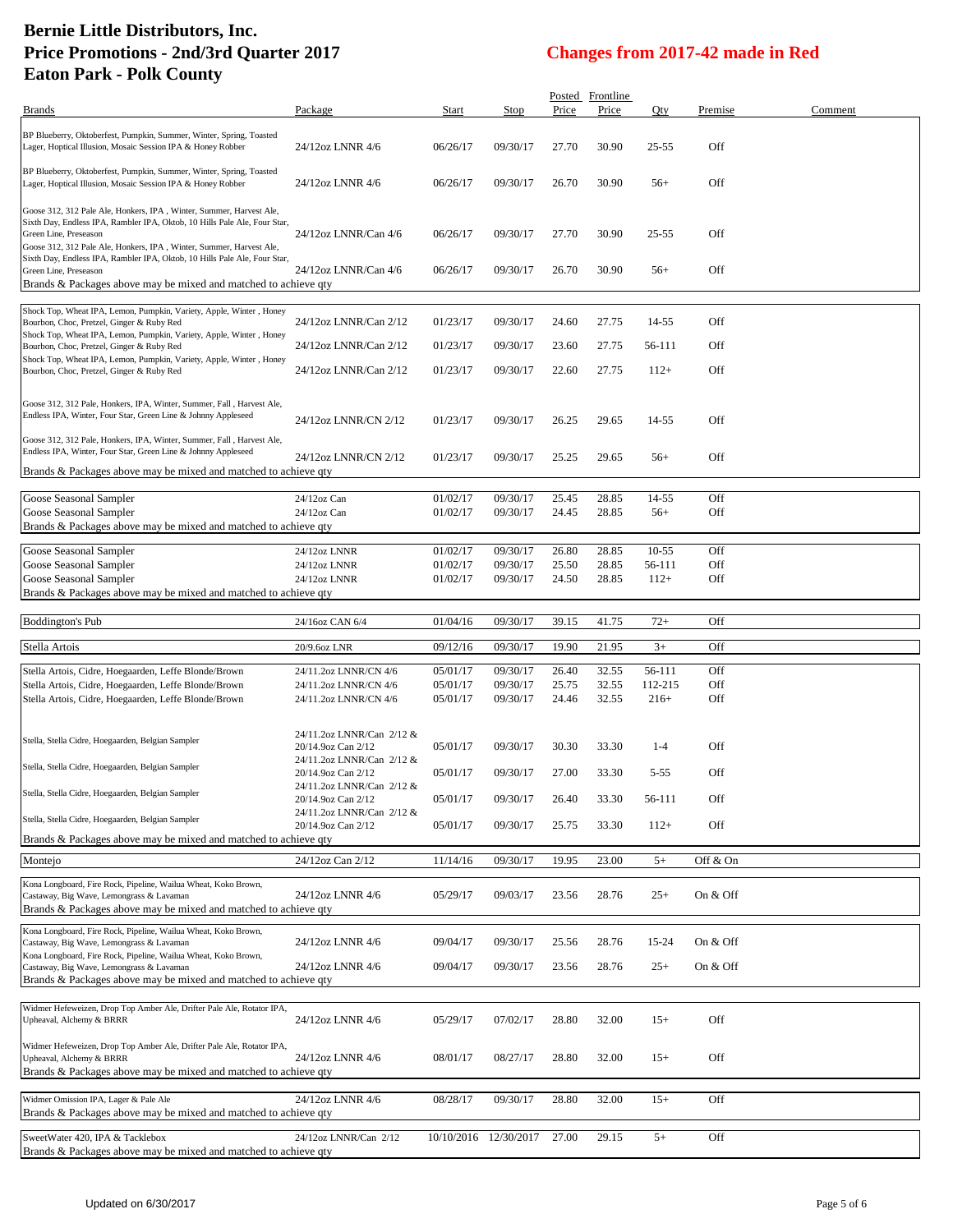| Brands                                                                                                                                                                                                                                                                                                                        | Package                                         | Start                | Stop                  | Price          | Posted Frontline<br>Price | Qty            | Premise    | Comment |
|-------------------------------------------------------------------------------------------------------------------------------------------------------------------------------------------------------------------------------------------------------------------------------------------------------------------------------|-------------------------------------------------|----------------------|-----------------------|----------------|---------------------------|----------------|------------|---------|
|                                                                                                                                                                                                                                                                                                                               |                                                 |                      |                       |                |                           |                |            |         |
| BP Blueberry, Oktoberfest, Pumpkin, Summer, Winter, Spring, Toasted<br>Lager, Hoptical Illusion, Mosaic Session IPA & Honey Robber                                                                                                                                                                                            | 24/12oz LNNR 4/6                                | 06/26/17             | 09/30/17              | 27.70          | 30.90                     | 25-55          | Off        |         |
| BP Blueberry, Oktoberfest, Pumpkin, Summer, Winter, Spring, Toasted<br>Lager, Hoptical Illusion, Mosaic Session IPA & Honey Robber                                                                                                                                                                                            | 24/12oz LNNR 4/6                                | 06/26/17             | 09/30/17              | 26.70          | 30.90                     | $56+$          | Off        |         |
| Goose 312, 312 Pale Ale, Honkers, IPA, Winter, Summer, Harvest Ale,<br>Sixth Day, Endless IPA, Rambler IPA, Oktob, 10 Hills Pale Ale, Four Star,<br>Green Line, Preseason<br>Goose 312, 312 Pale Ale, Honkers, IPA, Winter, Summer, Harvest Ale,<br>Sixth Day, Endless IPA, Rambler IPA, Oktob, 10 Hills Pale Ale, Four Star, | 24/12oz LNNR/Can 4/6                            | 06/26/17             | 09/30/17              | 27.70          | 30.90                     | 25-55          | Off        |         |
| Green Line, Preseason<br>Brands & Packages above may be mixed and matched to achieve qty                                                                                                                                                                                                                                      | 24/12oz LNNR/Can 4/6                            | 06/26/17             | 09/30/17              | 26.70          | 30.90                     | $56+$          | Off        |         |
| Shock Top, Wheat IPA, Lemon, Pumpkin, Variety, Apple, Winter, Honey                                                                                                                                                                                                                                                           |                                                 |                      |                       |                |                           |                |            |         |
| Bourbon, Choc, Pretzel, Ginger & Ruby Red<br>Shock Top, Wheat IPA, Lemon, Pumpkin, Variety, Apple, Winter, Honey                                                                                                                                                                                                              | 24/12oz LNNR/Can 2/12                           | 01/23/17             | 09/30/17              | 24.60          | 27.75                     | 14-55          | Off        |         |
| Bourbon, Choc, Pretzel, Ginger & Ruby Red                                                                                                                                                                                                                                                                                     | 24/12oz LNNR/Can 2/12                           | 01/23/17             | 09/30/17              | 23.60          | 27.75                     | 56-111         | Off        |         |
| Shock Top, Wheat IPA, Lemon, Pumpkin, Variety, Apple, Winter, Honey<br>Bourbon, Choc, Pretzel, Ginger & Ruby Red                                                                                                                                                                                                              | 24/12oz LNNR/Can 2/12                           | 01/23/17             | 09/30/17              | 22.60          | 27.75                     | $112+$         | Off        |         |
| Goose 312, 312 Pale, Honkers, IPA, Winter, Summer, Fall, Harvest Ale,<br>Endless IPA, Winter, Four Star, Green Line & Johnny Appleseed                                                                                                                                                                                        | 24/12oz LNNR/CN 2/12                            | 01/23/17             | 09/30/17              | 26.25          | 29.65                     | 14-55          | Off        |         |
| Goose 312, 312 Pale, Honkers, IPA, Winter, Summer, Fall, Harvest Ale,<br>Endless IPA, Winter, Four Star, Green Line & Johnny Appleseed                                                                                                                                                                                        |                                                 |                      |                       |                |                           |                |            |         |
| Brands & Packages above may be mixed and matched to achieve qty                                                                                                                                                                                                                                                               | 24/12oz LNNR/CN 2/12                            | 01/23/17             | 09/30/17              | 25.25          | 29.65                     | $56+$          | Off        |         |
|                                                                                                                                                                                                                                                                                                                               |                                                 |                      |                       |                |                           |                |            |         |
| Goose Seasonal Sampler<br>Goose Seasonal Sampler                                                                                                                                                                                                                                                                              | 24/12oz Can<br>24/12oz Can                      | 01/02/17<br>01/02/17 | 09/30/17<br>09/30/17  | 25.45<br>24.45 | 28.85<br>28.85            | 14-55<br>$56+$ | Off<br>Off |         |
| Brands & Packages above may be mixed and matched to achieve qty                                                                                                                                                                                                                                                               |                                                 |                      |                       |                |                           |                |            |         |
| Goose Seasonal Sampler                                                                                                                                                                                                                                                                                                        | 24/12oz LNNR                                    | 01/02/17             | 09/30/17              | 26.80          | 28.85                     | $10 - 55$      | Off        |         |
| Goose Seasonal Sampler                                                                                                                                                                                                                                                                                                        | 24/12oz LNNR                                    | 01/02/17             | 09/30/17              | 25.50          | 28.85                     | 56-111         | Off        |         |
| Goose Seasonal Sampler                                                                                                                                                                                                                                                                                                        | 24/12oz LNNR                                    | 01/02/17             | 09/30/17              | 24.50          | 28.85                     | $112+$         | Off        |         |
| Brands & Packages above may be mixed and matched to achieve qty                                                                                                                                                                                                                                                               |                                                 |                      |                       |                |                           |                |            |         |
| <b>Boddington's Pub</b>                                                                                                                                                                                                                                                                                                       | 24/16oz CAN 6/4                                 | 01/04/16             | 09/30/17              | 39.15          | 41.75                     | $72+$          | Off        |         |
|                                                                                                                                                                                                                                                                                                                               |                                                 |                      |                       |                |                           |                |            |         |
| Stella Artois                                                                                                                                                                                                                                                                                                                 | 20/9.6oz LNR                                    | 09/12/16             | 09/30/17              | 19.90          | 21.95                     | $3+$           | Off        |         |
| Stella Artois, Cidre, Hoegaarden, Leffe Blonde/Brown                                                                                                                                                                                                                                                                          | 24/11.2oz LNNR/CN 4/6                           | 05/01/17             | 09/30/17              | 26.40          | 32.55                     | 56-111         | Off        |         |
| Stella Artois, Cidre, Hoegaarden, Leffe Blonde/Brown                                                                                                                                                                                                                                                                          | 24/11.2oz LNNR/CN 4/6                           | 05/01/17             | 09/30/17              | 25.75          | 32.55                     | 112-215        | Off        |         |
| Stella Artois, Cidre, Hoegaarden, Leffe Blonde/Brown                                                                                                                                                                                                                                                                          | 24/11.2oz LNNR/CN 4/6                           | 05/01/17             | 09/30/17              | 24.46          | 32.55                     | $216+$         | Off        |         |
| Stella, Stella Cidre, Hoegaarden, Belgian Sampler                                                                                                                                                                                                                                                                             | 24/11.2oz LNNR/Can 2/12 &                       |                      |                       |                |                           |                |            |         |
|                                                                                                                                                                                                                                                                                                                               | 20/14.9oz Can 2/12<br>24/11.2oz LNNR/Can 2/12 & | 05/01/17             | 09/30/17              | 30.30          | 33.30                     | $1-4$          | Off        |         |
| Stella, Stella Cidre, Hoegaarden, Belgian Sampler                                                                                                                                                                                                                                                                             | 20/14.9oz Can 2/12<br>24/11.2oz LNNR/Can 2/12 & | 05/01/17             | 09/30/17              | 27.00          | 33.30                     | $5 - 55$       | Off        |         |
| Stella, Stella Cidre, Hoegaarden, Belgian Sampler                                                                                                                                                                                                                                                                             | 20/14.9oz Can 2/12<br>24/11.2oz LNNR/Can 2/12 & | 05/01/17             | 09/30/17              | 26.40          | 33.30                     | 56-111         | Off        |         |
| Stella, Stella Cidre, Hoegaarden, Belgian Sampler                                                                                                                                                                                                                                                                             | 20/14.9oz Can 2/12                              | 05/01/17             | 09/30/17              | 25.75          | 33.30                     | $112+$         | Off        |         |
| Brands & Packages above may be mixed and matched to achieve qty                                                                                                                                                                                                                                                               |                                                 |                      |                       |                |                           |                |            |         |
| Montejo                                                                                                                                                                                                                                                                                                                       | 24/12oz Can 2/12                                | 11/14/16             | 09/30/17              | 19.95          | 23.00                     | $5+$           | Off & On   |         |
| Kona Longboard, Fire Rock, Pipeline, Wailua Wheat, Koko Brown,<br>Castaway, Big Wave, Lemongrass & Lavaman<br>Brands & Packages above may be mixed and matched to achieve qty                                                                                                                                                 | 24/12oz LNNR 4/6                                | 05/29/17             | 09/03/17              | 23.56          | 28.76                     | $25+$          | On & Off   |         |
| Kona Longboard, Fire Rock, Pipeline, Wailua Wheat, Koko Brown,<br>Castaway, Big Wave, Lemongrass & Lavaman                                                                                                                                                                                                                    | 24/12oz LNNR 4/6                                | 09/04/17             | 09/30/17              | 25.56          | 28.76                     | 15-24          | On & Off   |         |
| Kona Longboard, Fire Rock, Pipeline, Wailua Wheat, Koko Brown,                                                                                                                                                                                                                                                                | 24/12oz LNNR 4/6                                | 09/04/17             | 09/30/17              | 23.56          | 28.76                     | $25+$          | On & Off   |         |
| Castaway, Big Wave, Lemongrass & Lavaman<br>Brands & Packages above may be mixed and matched to achieve qty                                                                                                                                                                                                                   |                                                 |                      |                       |                |                           |                |            |         |
|                                                                                                                                                                                                                                                                                                                               |                                                 |                      |                       |                |                           |                |            |         |
| Widmer Hefeweizen, Drop Top Amber Ale, Drifter Pale Ale, Rotator IPA,<br>Upheaval, Alchemy & BRRR                                                                                                                                                                                                                             | 24/12oz LNNR 4/6                                | 05/29/17             | 07/02/17              | 28.80          | 32.00                     | $15+$          | Off        |         |
| Widmer Hefeweizen, Drop Top Amber Ale, Drifter Pale Ale, Rotator IPA,                                                                                                                                                                                                                                                         |                                                 |                      |                       |                |                           |                |            |         |
| Upheaval, Alchemy & BRRR                                                                                                                                                                                                                                                                                                      | 24/12oz LNNR 4/6                                | 08/01/17             | 08/27/17              | 28.80          | 32.00                     | $15+$          | Off        |         |
| Brands & Packages above may be mixed and matched to achieve qty                                                                                                                                                                                                                                                               |                                                 |                      |                       |                |                           |                |            |         |
|                                                                                                                                                                                                                                                                                                                               |                                                 |                      |                       |                |                           |                |            |         |
| Widmer Omission IPA, Lager & Pale Ale                                                                                                                                                                                                                                                                                         | 24/12oz LNNR 4/6                                | 08/28/17             | 09/30/17              | 28.80          | 32.00                     | $15+$          | Off        |         |
| Brands & Packages above may be mixed and matched to achieve qty<br>SweetWater 420, IPA & Tacklebox                                                                                                                                                                                                                            | 24/12oz LNNR/Can 2/12                           |                      | 10/10/2016 12/30/2017 | 27.00          | 29.15                     | $5+$           | Off        |         |